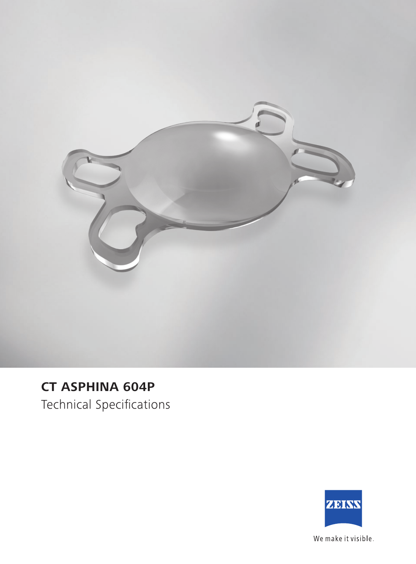

## **CT ASPHINA 604P**

Technical Specifications



We make it visible.